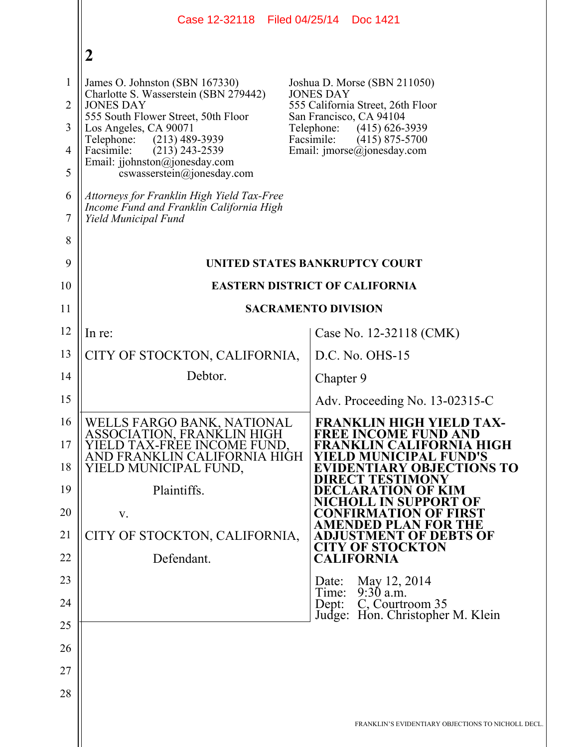|                                | Case 12-32118   Filed 04/25/14   Doc 1421                                                         |                                                                                            |
|--------------------------------|---------------------------------------------------------------------------------------------------|--------------------------------------------------------------------------------------------|
|                                | $\boldsymbol{2}$                                                                                  |                                                                                            |
| $\mathbf{1}$<br>$\overline{2}$ | James O. Johnston (SBN 167330)<br>Charlotte S. Wasserstein (SBN 279442)<br><b>JONES DAY</b>       | Joshua D. Morse (SBN 211050)<br><b>JONES DAY</b><br>555 California Street, 26th Floor      |
| 3                              | 555 South Flower Street, 50th Floor<br>Los Angeles, CA 90071                                      | San Francisco, CA 94104<br>Telephone:<br>$(415)$ 626-3939                                  |
| $\overline{4}$                 | Telephone:<br>$(213)$ 489-3939<br>Facsimile:<br>$(213)$ 243-2539<br>Email: jjohnston@jonesday.com | Facsimile:<br>$(415)$ 875-5700<br>Email: imorse@jonesday.com                               |
| 5<br>6                         | cswasserstein@jonesday.com<br>Attorneys for Franklin High Yield Tax-Free                          |                                                                                            |
| $\overline{7}$                 | Income Fund and Franklin California High<br>Yield Municipal Fund                                  |                                                                                            |
| 8                              |                                                                                                   |                                                                                            |
| 9                              | UNITED STATES BANKRUPTCY COURT                                                                    |                                                                                            |
| 10                             | <b>EASTERN DISTRICT OF CALIFORNIA</b>                                                             |                                                                                            |
| 11                             |                                                                                                   | <b>SACRAMENTO DIVISION</b>                                                                 |
| 12                             | In re:                                                                                            | Case No. 12-32118 (CMK)                                                                    |
| 13                             | CITY OF STOCKTON, CALIFORNIA,                                                                     | D.C. No. OHS-15                                                                            |
| 14                             | Debtor.                                                                                           | Chapter 9                                                                                  |
| 15                             |                                                                                                   | Adv. Proceeding No. 13-02315-C                                                             |
| 16<br>17                       | WELLS FARGO BANK, NATIONAL<br>ASSOCIATION, FRANKLIN HIGH<br>YIELD TAX-FREE INCOME FUND.           | <b>FRANKLIN HIGH YIELD TAX-</b><br><b>FREE INCOME FUND AND</b><br>FRANKLIN CALIFORNIA HIGH |
| 18                             | AND FRANKLIN CALIFORNIA HIGH<br>YIELD MUNICIPAL FUND,                                             | YIELD MUNICIPAL FUND'S<br><b>EVIDENTIARY OBJECTIONS TO</b><br><b>DIRECT TESTIMONY</b>      |
| 19                             | Plaintiffs.                                                                                       | LARATION OF KIM<br>L IN SUPPORT OF                                                         |
| 20<br>21                       | V.<br>CITY OF STOCKTON, CALIFORNIA,                                                               | CONFIRMATION OF FIRST<br><b>AMENDED PLAN FOR THE</b><br>ADJUSTMENT OF DEBTS OF             |
| 22                             | Defendant.                                                                                        | <b>CITY OF STOCKTON</b><br><b>CALIFORNIA</b>                                               |
| 23                             |                                                                                                   | May 12, 2014<br>Date:                                                                      |
| 24                             |                                                                                                   | $9:30$ a.m.<br>Time:<br>C, Courtroom 35<br>Dep:                                            |
| 25                             |                                                                                                   | Judge: Hon. Christopher M. Klein                                                           |
| 26                             |                                                                                                   |                                                                                            |
| 27                             |                                                                                                   |                                                                                            |
| 28                             |                                                                                                   |                                                                                            |
|                                |                                                                                                   | FRANKLIN'S EVIDENTIARY OBJECTIONS TO NICHOLL DECL.                                         |